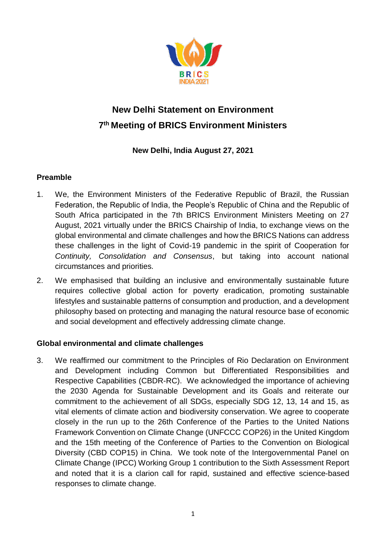

# **New Delhi Statement on Environment 7 th Meeting of BRICS Environment Ministers**

**New Delhi, India August 27, 2021**

# **Preamble**

- 1. We, the Environment Ministers of the Federative Republic of Brazil, the Russian Federation, the Republic of India, the People's Republic of China and the Republic of South Africa participated in the 7th BRICS Environment Ministers Meeting on 27 August, 2021 virtually under the BRICS Chairship of India, to exchange views on the global environmental and climate challenges and how the BRICS Nations can address these challenges in the light of Covid-19 pandemic in the spirit of Cooperation for *Continuity, Consolidation and Consensus*, but taking into account national circumstances and priorities.
- 2. We emphasised that building an inclusive and environmentally sustainable future requires collective global action for poverty eradication, promoting sustainable lifestyles and sustainable patterns of consumption and production, and a development philosophy based on protecting and managing the natural resource base of economic and social development and effectively addressing climate change.

# **Global environmental and climate challenges**

3. We reaffirmed our commitment to the Principles of Rio Declaration on Environment and Development including Common but Differentiated Responsibilities and Respective Capabilities (CBDR-RC). We acknowledged the importance of achieving the 2030 Agenda for Sustainable Development and its Goals and reiterate our commitment to the achievement of all SDGs, especially SDG 12, 13, 14 and 15, as vital elements of climate action and biodiversity conservation. We agree to cooperate closely in the run up to the 26th Conference of the Parties to the United Nations Framework Convention on Climate Change (UNFCCC COP26) in the United Kingdom and the 15th meeting of the Conference of Parties to the Convention on Biological Diversity (CBD COP15) in China. We took note of the Intergovernmental Panel on Climate Change (IPCC) Working Group 1 contribution to the Sixth Assessment Report and noted that it is a clarion call for rapid, sustained and effective science-based responses to climate change.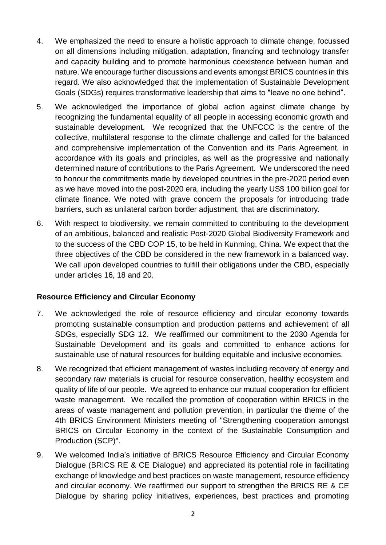- 4. We emphasized the need to ensure a holistic approach to climate change, focussed on all dimensions including mitigation, adaptation, financing and technology transfer and capacity building and to promote harmonious coexistence between human and nature. We encourage further discussions and events amongst BRICS countries in this regard. We also acknowledged that the implementation of Sustainable Development Goals (SDGs) requires transformative leadership that aims to "leave no one behind".
- 5. We acknowledged the importance of global action against climate change by recognizing the fundamental equality of all people in accessing economic growth and sustainable development. We recognized that the UNFCCC is the centre of the collective, multilateral response to the climate challenge and called for the balanced and comprehensive implementation of the Convention and its Paris Agreement, in accordance with its goals and principles, as well as the progressive and nationally determined nature of contributions to the Paris Agreement. We underscored the need to honour the commitments made by developed countries in the pre-2020 period even as we have moved into the post-2020 era, including the yearly US\$ 100 billion goal for climate finance. We noted with grave concern the proposals for introducing trade barriers, such as unilateral carbon border adjustment, that are discriminatory.
- 6. With respect to biodiversity, we remain committed to contributing to the development of an ambitious, balanced and realistic Post-2020 Global Biodiversity Framework and to the success of the CBD COP 15, to be held in Kunming, China. We expect that the three objectives of the CBD be considered in the new framework in a balanced way. We call upon developed countries to fulfill their obligations under the CBD, especially under articles 16, 18 and 20.

# **Resource Efficiency and Circular Economy**

- 7. We acknowledged the role of resource efficiency and circular economy towards promoting sustainable consumption and production patterns and achievement of all SDGs, especially SDG 12. We reaffirmed our commitment to the 2030 Agenda for Sustainable Development and its goals and committed to enhance actions for sustainable use of natural resources for building equitable and inclusive economies.
- 8. We recognized that efficient management of wastes including recovery of energy and secondary raw materials is crucial for resource conservation, healthy ecosystem and quality of life of our people. We agreed to enhance our mutual cooperation for efficient waste management. We recalled the promotion of cooperation within BRICS in the areas of waste management and pollution prevention, in particular the theme of the 4th BRICS Environment Ministers meeting of "Strengthening cooperation amongst BRICS on Circular Economy in the context of the Sustainable Consumption and Production (SCP)".
- 9. We welcomed India's initiative of BRICS Resource Efficiency and Circular Economy Dialogue (BRICS RE & CE Dialogue) and appreciated its potential role in facilitating exchange of knowledge and best practices on waste management, resource efficiency and circular economy. We reaffirmed our support to strengthen the BRICS RE & CE Dialogue by sharing policy initiatives, experiences, best practices and promoting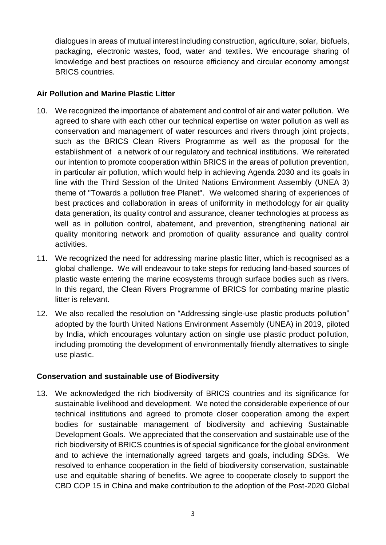dialogues in areas of mutual interest including construction, agriculture, solar, biofuels, packaging, electronic wastes, food, water and textiles. We encourage sharing of knowledge and best practices on resource efficiency and circular economy amongst BRICS countries.

### **Air Pollution and Marine Plastic Litter**

- 10. We recognized the importance of abatement and control of air and water pollution. We agreed to share with each other our technical expertise on water pollution as well as conservation and management of water resources and rivers through joint projects, such as the BRICS Clean Rivers Programme as well as the proposal for the establishment of a network of our regulatory and technical institutions. We reiterated our intention to promote cooperation within BRICS in the areas of pollution prevention, in particular air pollution, which would help in achieving Agenda 2030 and its goals in line with the Third Session of the United Nations Environment Assembly (UNEA 3) theme of "Towards a pollution free Planet". We welcomed sharing of experiences of best practices and collaboration in areas of uniformity in methodology for air quality data generation, its quality control and assurance, cleaner technologies at process as well as in pollution control, abatement, and prevention, strengthening national air quality monitoring network and promotion of quality assurance and quality control activities.
- 11. We recognized the need for addressing marine plastic litter, which is recognised as a global challenge. We will endeavour to take steps for reducing land-based sources of plastic waste entering the marine ecosystems through surface bodies such as rivers. In this regard, the Clean Rivers Programme of BRICS for combating marine plastic litter is relevant.
- 12. We also recalled the resolution on "Addressing single-use plastic products pollution" adopted by the fourth United Nations Environment Assembly (UNEA) in 2019, piloted by India, which encourages voluntary action on single use plastic product pollution, including promoting the development of environmentally friendly alternatives to single use plastic.

# **Conservation and sustainable use of Biodiversity**

13. We acknowledged the rich biodiversity of BRICS countries and its significance for sustainable livelihood and development. We noted the considerable experience of our technical institutions and agreed to promote closer cooperation among the expert bodies for sustainable management of biodiversity and achieving Sustainable Development Goals. We appreciated that the conservation and sustainable use of the rich biodiversity of BRICS countries is of special significance for the global environment and to achieve the internationally agreed targets and goals, including SDGs. We resolved to enhance cooperation in the field of biodiversity conservation, sustainable use and equitable sharing of benefits. We agree to cooperate closely to support the CBD COP 15 in China and make contribution to the adoption of the Post-2020 Global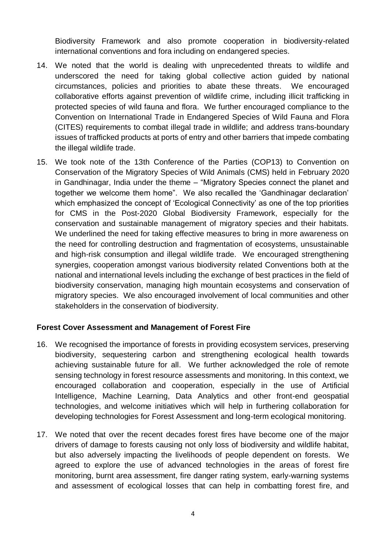Biodiversity Framework and also promote cooperation in biodiversity-related international conventions and fora including on endangered species.

- 14. We noted that the world is dealing with unprecedented threats to wildlife and underscored the need for taking global collective action guided by national circumstances, policies and priorities to abate these threats. We encouraged collaborative efforts against prevention of wildlife crime, including illicit trafficking in protected species of wild fauna and flora. We further encouraged compliance to the Convention on International Trade in Endangered Species of Wild Fauna and Flora (CITES) requirements to combat illegal trade in wildlife; and address trans-boundary issues of trafficked products at ports of entry and other barriers that impede combating the illegal wildlife trade.
- 15. We took note of the 13th Conference of the Parties (COP13) to Convention on Conservation of the Migratory Species of Wild Animals (CMS) held in February 2020 in Gandhinagar, India under the theme – "Migratory Species connect the planet and together we welcome them home". We also recalled the 'Gandhinagar declaration' which emphasized the concept of 'Ecological Connectivity' as one of the top priorities for CMS in the Post-2020 Global Biodiversity Framework, especially for the conservation and sustainable management of migratory species and their habitats. We underlined the need for taking effective measures to bring in more awareness on the need for controlling destruction and fragmentation of ecosystems, unsustainable and high-risk consumption and illegal wildlife trade. We encouraged strengthening synergies, cooperation amongst various biodiversity related Conventions both at the national and international levels including the exchange of best practices in the field of biodiversity conservation, managing high mountain ecosystems and conservation of migratory species. We also encouraged involvement of local communities and other stakeholders in the conservation of biodiversity.

# **Forest Cover Assessment and Management of Forest Fire**

- 16. We recognised the importance of forests in providing ecosystem services, preserving biodiversity, sequestering carbon and strengthening ecological health towards achieving sustainable future for all. We further acknowledged the role of remote sensing technology in forest resource assessments and monitoring. In this context, we encouraged collaboration and cooperation, especially in the use of Artificial Intelligence, Machine Learning, Data Analytics and other front-end geospatial technologies, and welcome initiatives which will help in furthering collaboration for developing technologies for Forest Assessment and long-term ecological monitoring.
- 17. We noted that over the recent decades forest fires have become one of the major drivers of damage to forests causing not only loss of biodiversity and wildlife habitat, but also adversely impacting the livelihoods of people dependent on forests. We agreed to explore the use of advanced technologies in the areas of forest fire monitoring, burnt area assessment, fire danger rating system, early-warning systems and assessment of ecological losses that can help in combatting forest fire, and